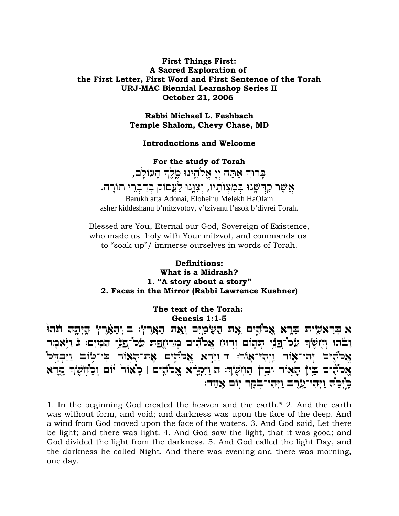### **First Things First: A Sacred Exploration of** the First Letter, First Word and First Sentence of the Torah **URJ-MAC Biennial Learnshop Series II** October 21, 2006

Rabbi Michael L. Feshbach Temple Shalom, Chevy Chase, MD

#### **Introductions and Welcome**

For the study of Torah בְרוּךְ אַתָּה יְיָ אֱלֹהֵינוּ מֶלֶךְ הָעוֹלָם, אַשֶּׁר קִרְשָׁנוּ בִּמְצְוֹתַיו, וְצְוַנוּ לַעֲסוֹק בִּדְבְרֵי תוֹרָה.

Barukh atta Adonai, Eloheinu Melekh HaOlam asher kiddeshanu b'mitzvotov, v'tzivanu l'asok b'divrei Torah.

Blessed are You, Eternal our God, Sovereign of Existence, who made us holy with Your mitzvot, and commands us to "soak up"/ immerse ourselves in words of Torah.

## Definitions: What is a Midrash? 1. "A story about a story" 2. Faces in the Mirror (Rabbi Lawrence Kushner)

The text of the Torah: Genesis 1:1-5

א בראשית ברא אלהים את השפים ואת הארץ: ב והארץ היתה תהו וָבֹהוּ וְזִזְשָׂׂךְ עַל־פַּבֵּי הִנְהוֹם וְרְוּזַ אֲלֹדִים מְרַזְזֶפַת עַל־פַּבֵּי הָמָיִם: בּ וַיְּאמִר אַכ'הֶים יְהִי־אָוֹר וַיִּהִי־אָוֹר: ד וַיַּרְא אֵכ'הֶים אָת־הָאָוֹר כִּי־טְוֹב וַיַּבְדֵּכ' אָכֹהים בֵין הָאוֹר יִבֵין הַזוֹשָׂר: ה וַיִּקְרֹא אֲכֹהִים | כַאוֹר יוֹם וְכַוֹזְשָׂרְ קַרָא כַּיְכַוֹּה וַיִּהִי־עֲרֶב וַיִּהִי־בִקָר יִוֹם אֲזַזִד:

1. In the beginning God created the heaven and the earth.\* 2. And the earth was without form, and void; and darkness was upon the face of the deep. And a wind from God moved upon the face of the waters. 3. And God said, Let there be light; and there was light. 4. And God saw the light, that it was good; and God divided the light from the darkness. 5. And God called the light Day, and the darkness he called Night. And there was evening and there was morning, one day.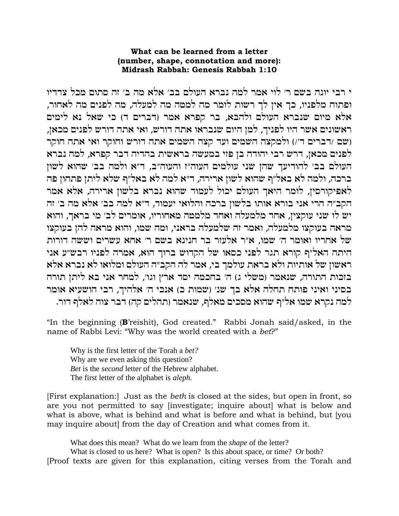### What can be learned from a letter (number, shape, connotation and more): Midrash Rabbah: Genesis Rabbah 1:10

י רבי יונה בשם ר' לוי אמר למה נברא העולם בב' אלא מה ב' זה סתום מכל צדדיו ופתוח מלפניו, כך אין לך רשות לומר מה למטה מה למעלה, מה לפנים מה לאחור, אלא מיום שנברא העולם ולהבא, בר קפרא אמר (דברים ד) כי שאל נא לימים ראשונים אשר היו לפניך, למן היום שנבראו אתה דורש, ואי אתה דורש לפנים מכאן, (שם /דברים ד׳/) ולמקצה השמים ועד קצה השמים אתה דורש וחוקר ואי אתה חוקר לפנים מכאן, דרש רבי יהודה בן פזי במעשה בראשית בהדיה דבר קפרא, למה נברא העולם בב׳ להודיעך שהן שני עולמים העוה״ז והעוה״ב, ד״א ולמה בב׳ שהוא לשון ברכה, ולמה לא באל״ף שהוא לשון ארירה, ד״א למה לא באל״ף שלא ליתן פתחון פה לאפיקורסין, לומר היאך העולם יכול לעמוד שהוא נברא בלשון ארירה, אלא אמר הקב״ה הרי אני בורא אותו בלשון ברכה והלואי יעמוד, ד״א למה בב׳ אלא מה ב׳ זה יש לו שני עוקצין, אחד מלמעלה ואחד מלמטה מאחוריו, אומרים לב׳ מי בראך, והוא מראה בעוקצו מלמעלה, ואמר זה שלמעלה בראני, ומה שמו, והוא מראה להן בעוקצו של אחריו ואומר ה׳ שמו, א״ר אלעזר בר חנינא בשם ר׳ אחא עשרים וששה דורות היתה האל״ף קורא תגר לפני כסאו של הקדוש ברוך הוא, אמרה לפניו רבש״ע אני ראשון של אותיות ולא בראת עולמך בי, אמר לה הקב״ה העולם ומלואו לא נברא אלא בזכות התורה, שנאמר (משלי ג) ה׳ בחכמה יסד ארץ וגו׳, למחר אני בא ליתן תורה בסיני ואיני פותח תחלה אלא בך שנ׳ (שמות כ) אנכי ה׳ אלהיך, רבי הושעיא אומר למה נקרא שמו אל״ף שהוא מסכים מאלף, שנאמר (תהלים קה) דבר צוה לאלף דור.

"In the beginning (B'reishit), God created." Rabbi Jonah said/asked, in the name of Rabbi Levi: "Why was the world created with a bet?"

Why is the first letter of the Torah a bet? Why are we even asking this question? Bet is the *second* letter of the Hebrew alphabet. The first letter of the alphabet is *aleph*.

[First explanation:] Just as the *beth* is closed at the sides, but open in front, so are you not permitted to say [investigate; inquire about] what is below and what is above, what is behind and what is before and what is behind, but [you may inquire about] from the day of Creation and what comes from it.

What does this mean? What do we learn from the *shape* of the letter?

What is closed to us here? What is open? Is this about space, or time? Or both? [Proof texts are given for this explanation, citing verses from the Torah and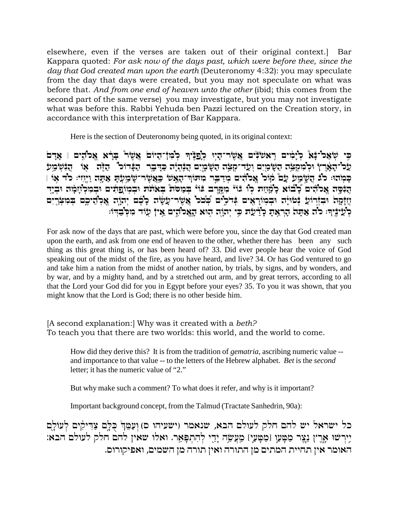elsewhere, even if the verses are taken out of their original context.] Bar Kappara quoted: *For ask now of the days past, which were before thee, since the day that God created man upon the earth* (Deuteronomy 4:32): you may speculate from the day that days were created, but you may not speculate on what was before that. *And from one end of heaven unto the other* (ibid; this comes from the second part of the same verse) you may investigate, but you may not investigate what was before this. Rabbi Yehuda ben Pazzi lectured on the Creation story, in accordance with this interpretation of Bar Kappara.

Here is the section of Deuteronomy being quoted, in its original context:

 $\Xi$ ָ בִּי שְׂאַל־ $\sharp$ א כְיָבְוּים וְאַשְׂנוּם בְּעֲשׁׂוּ בְּלֹא הָלֹהִים וּ אַדַם  $\mathcal{L}$ לל־הָאָרץ וּלְמִקְצֵה הַשָּׂמַיִם וְעַד־קְצֵה הַשָּׂמָיִם הֲנִהְיָה כַדְבֶר הַבָּדוּכ" הַדֶּה אַוֹּ הֲנִשְׂמַע | F`´ cl :ig¦«¤Ie© dY¨`© Y¨ r§ n¬©W¨ÎxW¤`£M«© W`²¥d¨ÎKFYn¦ x¯A¥ c©n§ mid¦¹Ÿl`¡ lFw¸ Ámr¨ rn«©W´¨ d£ bl :EdŸn« M¨ בֹּבֶּסֶה אֱכוֹדִים כֶׁובוֹא כָוֹּמְוֹת כְוֹ בוֹיֹ מִקֵרֶב בּוֹי בִמְמֹת בְּאוֹצֹת וּבִמְוֹפֵתִים וּבִמְלְזוָמָה וּבִיֶד  $\ddot{r}$ יָזַזָּקָה וּבְזְרוֹעֵ דְּמוֹיָה וּבְמוֹרָאֵים דְּרֹלֵים בְּכֹּל אֲשֶׂר־עָשָׂה כָבֶם יִהוֵֹה אֲכְהֵיכֵם בִּמִצְרֵים כְעַיֹּנֵיךָ: כוֹד אַתַּה הָרָאַת כְּיַ֫יָעָת כִּי יְהוֹה הוּא הָאָכוֹדִים אֵי† עוֹד מִכְּבְדִוּ:

For ask now of the days that are past, which were before you, since the day that God created man upon the earth, and ask from one end of heaven to the other, whether there has been any such thing as this great thing is, or has been heard of? 33. Did ever people hear the voice of God speaking out of the midst of the fire, as you have heard, and live? 34. Or has God ventured to go and take him a nation from the midst of another nation, by trials, by signs, and by wonders, and by war, and by a mighty hand, and by a stretched out arm, and by great terrors, according to all that the Lord your God did for you in Egypt before your eyes? 35. To you it was shown, that you might know that the Lord is God; there is no other beside him.

[A second explanation:] Why was it created with a *beth?*  To teach you that there are two worlds: this world, and the world to come.

How did they derive this? It is from the tradition of *gematria,* ascribing numeric value - and importance to that value -- to the letters of the Hebrew alphabet. *Bet* is the *second*  letter; it has the numeric value of "2."

But why make such a comment? To what does it refer, and why is it important?

Important background concept, from the Talmud (Tractate Sanhedrin, 90a):

כל ישראל יש להם חלק לעולם הבא, שנאמר (ישעיהו ם) וַעַמֱהְ כִּלֵּם צַדִּיקִים לְעוֹלֶַם :יִירשוּ אָרֵץ נֵצֵר מַטָּעַו [מַטָּעַי] מֵעֲשֵׂה יָדֵי לְהִתִפָּאֵר. ואלו שאין להם חלק לעולם הבא האומר אין תחיית המתים מן התורה ואין תורה מן השמים, ואפיקורום.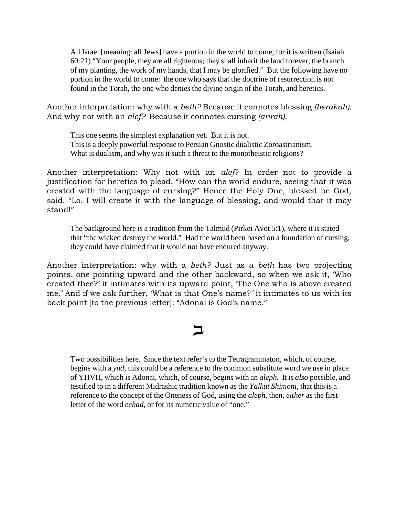All Israel [meaning: all Jews] have a portion in the world to come, for it is written (Isaiah 60:21) "Your people, they are all righteous; they shall inherit the land forever, the branch of my planting, the work of my hands, that I may be glorified." But the following have no portion in the world to come: the one who says that the doctrine of resurrection is not found in the Torah, the one who denies the divine origin of the Torah, and heretics.

Another interpretation: why with a *beth?* Because it connotes blessing *(berakah).* And why not with an *alef?* Because it connotes cursing *(arirah)*.

This one seems the simplest explanation yet. But it is not. This is a deeply powerful response to Persian Gnostic dualistic Zoroastrianism. What is dualism, and why was it such a threat to the monotheistic religions?

Another interpretation: Why not with an *alef?* In order not to provide a justification for heretics to plead, "How can the world endure, seeing that it was created with the language of cursing?" Hence the Holy One, blessed be God, said, "Lo, I will create it with the language of blessing, and would that it may stand!"

The background here is a tradition from the Talmud (Pirkei Avot 5:1), where it is stated that "the wicked destroy the world." Had the world been based on a foundation of cursing, they could have claimed that it would not have endured anyway.

Another interpretation: why with a *beth?* Just as a *beth* has two projecting points, one pointing upward and the other backward, so when we ask it, 'Who created thee?' it intimates with its upward point, 'The One who is above created me.' And if we ask further, 'What is that One's name?*'* it intimates to us with its back point [to the previous letter]: "Adonai is God's name."

# $\mathsf{\Xi}$

Two possibilities here. Since the text refer's to the Tetragrammaton, which, of course, begins with a *yud,* this could be a reference to the common substitute word we use in place of YHVH, which is Adonai, which, of course, begins with an *aleph.* It is *also* possible, and testified to in a different Midrashic tradition known as the *Yalkut Shimoni,* that this is a reference to the concept of the Oneness of God, using the *aleph,* then, *either* as the first letter of the word *echad,* or for its numeric value of "one."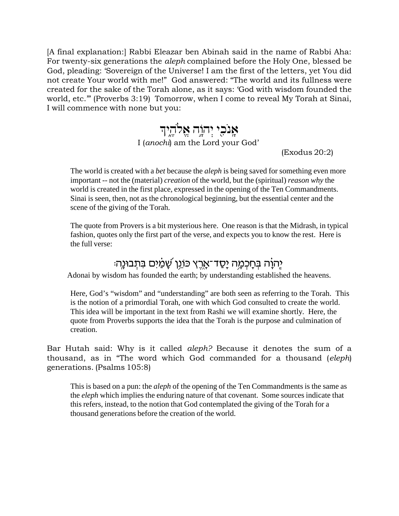[A final explanation:] Rabbi Eleazar ben Abinah said in the name of Rabbi Aha: For twenty-six generations the *aleph* complained before the Holy One, blessed be God, pleading: 'Sovereign of the Universe! I am the first of the letters, yet You did not create Your world with me!" God answered: "The world and its fullness were created for the sake of the Torah alone, as it says: 'God with wisdom founded the world, etc.'" (Proverbs 3:19) Tomorrow, when I come to reveal My Torah at Sinai, I will commence with none but you:

# $\boldsymbol{\gamma}$ אֲנֹכָי יְהוָה אֱלֹהֶיֶך I (*anochi*) am the Lord your God'

(Exodus 20:2)

The world is created with a *bet* because the *aleph* is being saved for something even more important -- not the (material) *creation* of the world, but the (spiritual) *reason why* the world is created in the first place, expressed in the opening of the Ten Commandments. Sinai is seen, then, not as the chronological beginning, but the essential center and the scene of the giving of the Torah.

The quote from Provers is a bit mysterious here. One reason is that the Midrash, in typical fashion, quotes only the first part of the verse, and expects you to know the rest. Here is the full verse:

## יְהִנָה בְּחָכְמֶה יָסַד־אָרֶץ כּוֹגֵן שָׁמַ֫יִם בִּתְבוּנֶה<sup>ָ</sup>

Adonai by wisdom has founded the earth; by understanding established the heavens.

Here, God's "wisdom" and "understanding" are both seen as referring to the Torah. This is the notion of a primordial Torah, one with which God consulted to create the world. This idea will be important in the text from Rashi we will examine shortly. Here, the quote from Proverbs supports the idea that the Torah is the purpose and culmination of creation.

Bar Hutah said: Why is it called *aleph?* Because it denotes the sum of a thousand, as in "The word which God commanded for a thousand (*eleph*) generations. (Psalms 105:8)

This is based on a pun: the *aleph* of the opening of the Ten Commandments is the same as the *eleph* which implies the enduring nature of that covenant. Some sources indicate that this refers, instead, to the notion that God contemplated the giving of the Torah for a thousand generations before the creation of the world.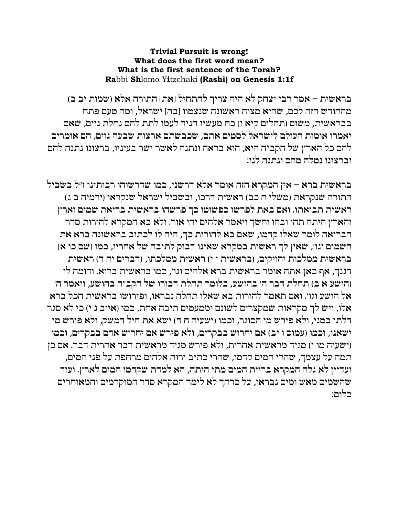## **Trivial Pursuit is wrong!** What does the first word mean? What is the first sentence of the Torah? Rabbi Shlomo Yitzchaki (Rashi) on Genesis 1:1f

בראשית – אמר רבי יצחק לא היה צריך להתחיל [את] התורה אלא (שמות יב ב) מהחודש הזה לכם, שהיא מצוה ראשונה שנצמוו [בה] ישראל, ומה מעם פתח בבראשית, משום (תהלים קיא ו) כח מעשיו הגיד לעמו לתת להם נחלת גוים, שאם יאמרו אומות העולם לישראל לסטים אתם, שכבשתם ארצות שבעה גוים, הם אומרים להם כל הארץ של הקב״ה היא, הוא בראה ונתנה לאשר ישר בעיניו, ברצונו נתנה להם וברצונו נטלה מהם ונתנה לנו:

בראשית ברא – אין המקרא הזה אומר אלא דרשני, כמו שדרשוהו רבותינו ז״ל בשביל התורה שנקראת (משלי ח כב) ראשית דרכו, ובשביל ישראל שנקראו (ירמיה ב ג) ראשית תבואתו. ואם באת לפרשו כפשוטו כך פרשהו בראשית בריאת שמים וארץ והארץ היתה תהו ובהו וחשך ויאמר אלהים יהי אור. ולא בא המקרא להורות סדר הבריאה לומר שאלו קדמו, שאם בא להורות כך, היה לו לכתוב בראשונה ברא את השמים וגו׳, שאין לך ראשית במקרא שאינו דבוק לתיבה של אחריו, כמו (שם כו א) בראשית ממלכות יהויקים, (בראשית י י) ראשית ממלכתו, (דברים יח ד) ראשית דגנך, אף כאן אתה אומר בראשית ברא אלהים וגו׳, כמו בראשית ברוא. ודומה לו (הושע א ב) תחלת דבר ה׳ בהושע, כלומר תחלת דבורו של הקב״ה בהושע, ויאמר ה׳ אל הושע וגו׳. ואם תאמר להורות בא שאלו תחלה נבראו, ופירושו בראשית הכל ברא אלו, ויש לך מקראות שמקצרים לשונם וממעטים תיבה אחת, כמו (איוב ג י) כי לא סגר דלתי במני, ולא פירש מי הסוגר, וכמו (ישעיה ח ד) ישא את חיל דמשק, ולא פירש מי ישאנו, וכמו (עמוס ו יב) אם יחרוש בבקרים, ולא פירש אם יחרוש אדם בבקרים, וכמו (ישעיה מו י) מגיד מראשית אחרית, ולא פירש מגיד מראשית דבר אחרית דבר. אם כן תמה על עצמך, שהרי המים קדמו, שהרי כתיב ורוח אלהים מרחפת על פני המים, ועדיין לא גלה המקרא בריית המים מתי היתה, הא למדת שקדמו המים לארץ. ועוד שהשמים מאש ומים נבראו, על כרחך לא לימד המקרא סדר המוקדמים והמאוחרים בלום: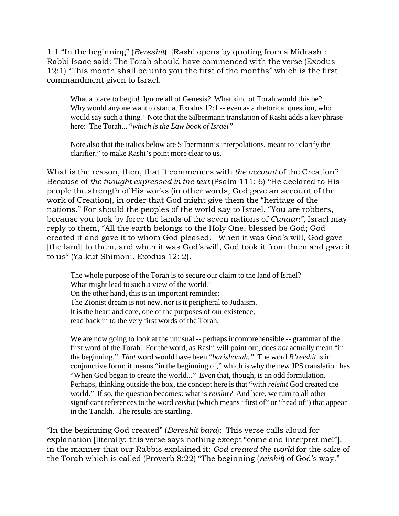1:1 "In the beginning" (*Bereshit*) [Rashi opens by quoting from a Midrash]: Rabbi Isaac said: The Torah should have commenced with the verse (Exodus 12:1) "This month shall be unto you the first of the months" which is the first commandment given to Israel.

What a place to begin! Ignore all of Genesis? What kind of Torah would this be? Why would anyone want to start at Exodus 12:1 -- even as a rhetorical question, who would say such a thing? Note that the Silbermann translation of Rashi adds a key phrase here: The Torah... "*which is the Law book of Israel"*

Note also that the italics below are Silbermann's interpolations, meant to "clarify the clarifier," to make Rashi's point more clear to us.

What is the reason, then, that it commences with *the account* of the Creation? Because of *the thought expressed in the text* (Psalm 111: 6) ''He declared to His people the strength of His works (in other words, God gave an account of the work of Creation), in order that God might give them the "heritage of the nations." For should the peoples of the world say to Israel, "You are robbers, because you took by force the lands of the seven nations of *Canaan",* Israel may reply to them, "All the earth belongs to the Holy One, blessed be God; God created it and gave it to whom God pleased. When it was God's will, God gave [the land] to them, and when it was God's will, God took it from them and gave it to us" (Yalkut Shimoni. Exodus 12: 2).

The whole purpose of the Torah is to secure our claim to the land of Israel? What might lead to such a view of the world? On the other hand, this is an important reminder: The Zionist dream is not new, nor is it peripheral to Judaism. It is the heart and core, one of the purposes of our existence, read back in to the very first words of the Torah.

We are now going to look at the unusual -- perhaps incomprehensible -- grammar of the first word of the Torah. For the word, as Rashi will point out, does *not* actually mean "in the beginning." *That* word would have been "*barishonah."* The word *B'reishit* is in conjunctive form; it means "in the beginning of," which is why the new JPS translation has "When God began to create the world..." Even that, though, is an odd formulation. Perhaps, thinking outside the box, the concept here is that "with *reishit* God created the world." If so, the question becomes: what is *reishit?* And here, we turn to all other significant references to the word *reishit* (which means "first of" or "head of") that appear in the Tanakh. The results are startling.

"In the beginning God created" (*Bereshit bara*): This verse calls aloud for explanation [literally: this verse says nothing except "come and interpret me!"]. in the manner that our Rabbis explained it: *God created the world* for the sake of the Torah which is called (Proverb 8:22) "The beginning (*reishit*) of God's way."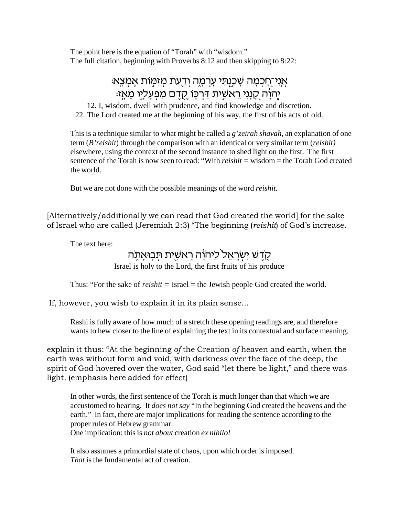The point here is the equation of "Torah" with "wisdom." The full citation, beginning with Proverbs 8:12 and then skipping to 8:22:

## : אֲנִי־חֲכִמָּה שָׁכֵנִתִּי עָרְמָה וְדַעֲת מִזְמְוֹת אֵמִצֶא יָהוָה <u>קָנָנִי ר</u>אשִׁית דַּרְכֶּוֹ <u>קָד</u>ֶם מִפְעָלָיו מֵאָזּ:

12. I, wisdom, dwell with prudence, and find knowledge and discretion. 22. The Lord created me at the beginning of his way, the first of his acts of old.

This is a technique similar to what might be called a *g'zeirah shavah,* an explanation of one term (*B'reishit*) through the comparison with an identical or very similar term (*reishit)* elsewhere, using the context of the second instance to shed light on the first. The first sentence of the Torah is now seen to read: "With *reishit =* wisdom = the Torah God created the world.

But we are not done with the possible meanings of the word *reishit.*

[Alternatively/additionally we can read that God created the world] for the sake of Israel who are called (Jeremiah 2:3) "The beginning (*reishit*) of God's increase.

The text here:

## <u>קדש ישראל ליהוה ראשית תבואתה</u>

Israel is holy to the Lord, the first fruits of his produce

Thus: "For the sake of *reishit* = Israel = the Jewish people God created the world.

If, however, you wish to explain it in its plain sense...

Rashi is fully aware of how much of a stretch these opening readings are, and therefore wants to hew closer to the line of explaining the text in its contextual and surface meaning.

explain it thus: "At the beginning *of* the Creation *of* heaven and earth, when the earth was without form and void, with darkness over the face of the deep, the spirit of God hovered over the water, God said "let there be light," and there was light. (emphasis here added for effect)

In other words, the first sentence of the Torah is much longer than that which we are accustomed to hearing. It *does not say* "In the beginning God created the heavens and the earth." In fact, there are major implications for reading the sentence according to the proper rules of Hebrew grammar. One implication: this is *not about* creation *ex nihilo!*

It also assumes a primordial state of chaos, upon which order is imposed. *That* is the fundamental act of creation.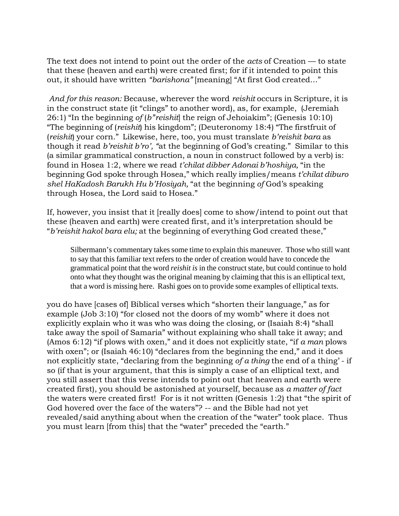The text does not intend to point out the order of the *acts* of Creation — to state that these (heaven and earth) were created first; for if it intended to point this out, it should have written *"barishona"* [meaning] "At first God created..."

*And for this reason:* Because, wherever the word *reishit* occurs in Scripture, it is in the construct state (it "clings" to another word), as, for example, (Jeremiah 26:1) "In the beginning *of* (*b'*'*reishit*] the reign of Jehoiakim"; (Genesis 10:10) "The beginning of (*reishit*) his kingdom"; (Deuteronomy 18:4) "The firstfruit of (*reishit*) your corn." Likewise, here, too, you must translate *b'reishit bara* as though it read *b'reishit b'ro', "*at the beginning of God's creating." Similar to this (a similar grammatical construction, a noun in construct followed by a verb) is: found in Hosea 1:2, where we read *t'chilat dibber Adonai b'hoshiya,* "in the beginning God spoke through Hosea," which really implies/means *t'chilat diburo shel HaKadosh Barukh Hu b'Hosiyah,* "at the beginning *of* God's speaking through Hosea, the Lord said to Hosea."

If, however, you insist that it [really does] come to show/intend to point out that these (heaven and earth) were created first, and it's interpretation should be "*b'reishit hakol bara elu;* at the beginning of everything God created these,"

Silbermann's commentary takes some time to explain this maneuver. Those who still want to say that this familiar text refers to the order of creation would have to concede the grammatical point that the word *reishit is* in the construct state, but could continue to hold onto what they thought was the original meaning by claiming that this is an elliptical text, that a word is missing here. Rashi goes on to provide some examples of elliptical texts.

you do have [cases of] Biblical verses which "shorten their language," as for example (Job 3:10) "for closed not the doors of my womb" where it does not explicitly explain who it was who was doing the closing, or (Isaiah 8:4) "shall take away the spoil of Samaria" without explaining who shall take it away; and (Amos 6:12) "if plows with oxen," and it does not explicitly state, "if *a man* plows with oxen"; or (Isaiah 46:10) "declares from the beginning the end," and it does not explicitly state, "declaring from the beginning *of a thing* the end of a thing' - if so (if that is your argument, that this is simply a case of an elliptical text, and you still assert that this verse intends to point out that heaven and earth were created first), you should be astonished at yourself, because as *a matter of fact* the waters were created first! For is it not written (Genesis 1:2) that "the spirit of God hovered over the face of the waters"? -- and the Bible had not yet revealed/said anything about when the creation of the "water" took place. Thus you must learn [from this] that the "water" preceded the "earth."